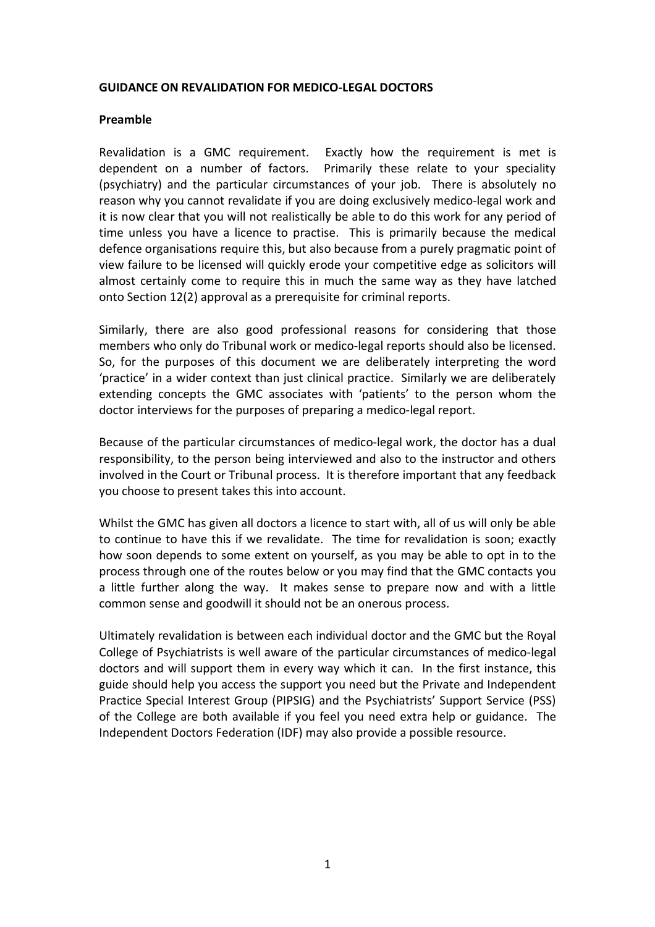#### GUIDANCE ON REVALIDATION FOR MEDICO-LEGAL DOCTORS

#### Preamble

Revalidation is a GMC requirement. Exactly how the requirement is met is dependent on a number of factors. Primarily these relate to your speciality (psychiatry) and the particular circumstances of your job. There is absolutely no reason why you cannot revalidate if you are doing exclusively medico-legal work and it is now clear that you will not realistically be able to do this work for any period of time unless you have a licence to practise. This is primarily because the medical defence organisations require this, but also because from a purely pragmatic point of view failure to be licensed will quickly erode your competitive edge as solicitors will almost certainly come to require this in much the same way as they have latched onto Section 12(2) approval as a prerequisite for criminal reports.

Similarly, there are also good professional reasons for considering that those members who only do Tribunal work or medico-legal reports should also be licensed. So, for the purposes of this document we are deliberately interpreting the word 'practice' in a wider context than just clinical practice. Similarly we are deliberately extending concepts the GMC associates with 'patients' to the person whom the doctor interviews for the purposes of preparing a medico-legal report.

Because of the particular circumstances of medico-legal work, the doctor has a dual responsibility, to the person being interviewed and also to the instructor and others involved in the Court or Tribunal process. It is therefore important that any feedback you choose to present takes this into account.

Whilst the GMC has given all doctors a licence to start with, all of us will only be able to continue to have this if we revalidate. The time for revalidation is soon; exactly how soon depends to some extent on yourself, as you may be able to opt in to the process through one of the routes below or you may find that the GMC contacts you a little further along the way. It makes sense to prepare now and with a little common sense and goodwill it should not be an onerous process.

Ultimately revalidation is between each individual doctor and the GMC but the Royal College of Psychiatrists is well aware of the particular circumstances of medico-legal doctors and will support them in every way which it can. In the first instance, this guide should help you access the support you need but the Private and Independent Practice Special Interest Group (PIPSIG) and the Psychiatrists' Support Service (PSS) of the College are both available if you feel you need extra help or guidance. The Independent Doctors Federation (IDF) may also provide a possible resource.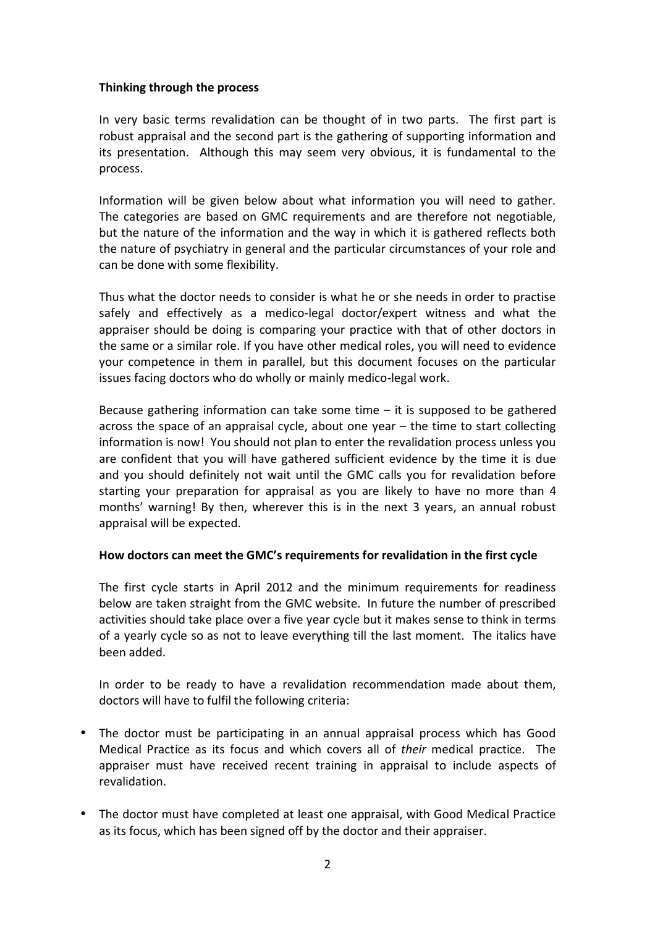## Thinking through the process

In very basic terms revalidation can be thought of in two parts. The first part is robust appraisal and the second part is the gathering of supporting information and its presentation. Although this may seem very obvious, it is fundamental to the process.

Information will be given below about what information you will need to gather. The categories are based on GMC requirements and are therefore not negotiable, but the nature of the information and the way in which it is gathered reflects both the nature of psychiatry in general and the particular circumstances of your role and can be done with some flexibility.

Thus what the doctor needs to consider is what he or she needs in order to practise safely and effectively as a medico-legal doctor/expert witness and what the appraiser should be doing is comparing your practice with that of other doctors in the same or a similar role. If you have other medical roles, you will need to evidence your competence in them in parallel, but this document focuses on the particular issues facing doctors who do wholly or mainly medico-legal work.

Because gathering information can take some time  $-$  it is supposed to be gathered across the space of an appraisal cycle, about one year – the time to start collecting information is now! You should not plan to enter the revalidation process unless you are confident that you will have gathered sufficient evidence by the time it is due and you should definitely not wait until the GMC calls you for revalidation before starting your preparation for appraisal as you are likely to have no more than 4 months' warning! By then, wherever this is in the next 3 years, an annual robust appraisal will be expected.

#### How doctors can meet the GMC's requirements for revalidation in the first cycle

The first cycle starts in April 2012 and the minimum requirements for readiness below are taken straight from the GMC website. In future the number of prescribed activities should take place over a five year cycle but it makes sense to think in terms of a yearly cycle so as not to leave everything till the last moment. The italics have been added.

In order to be ready to have a revalidation recommendation made about them, doctors will have to fulfil the following criteria:

- The doctor must be participating in an annual appraisal process which has Good Medical Practice as its focus and which covers all of their medical practice. The appraiser must have received recent training in appraisal to include aspects of revalidation.
- The doctor must have completed at least one appraisal, with Good Medical Practice as its focus, which has been signed off by the doctor and their appraiser.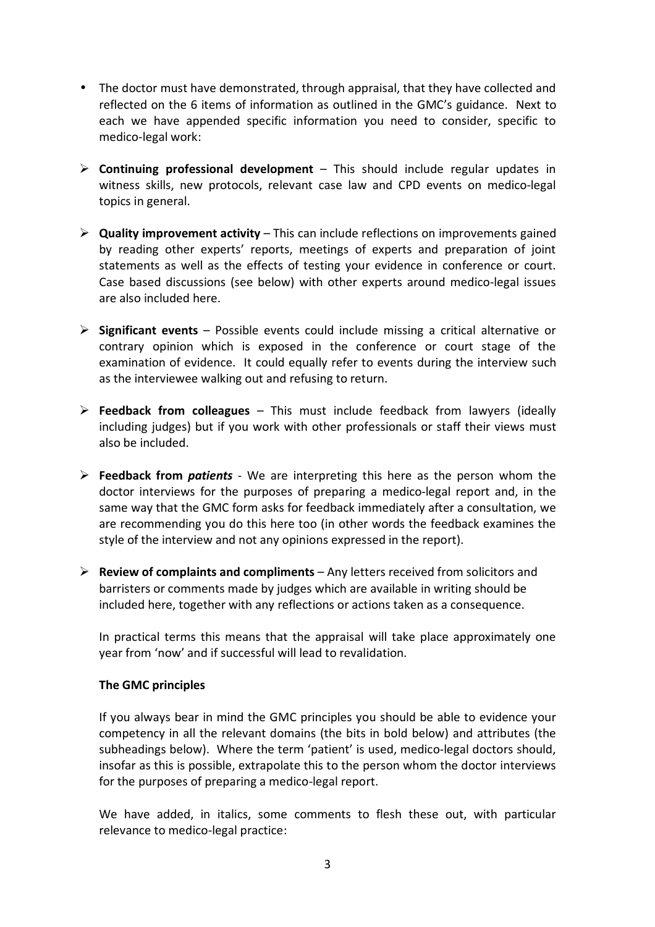- The doctor must have demonstrated, through appraisal, that they have collected and reflected on the 6 items of information as outlined in the GMC's guidance. Next to each we have appended specific information you need to consider, specific to medico-legal work:
- $\triangleright$  Continuing professional development This should include regular updates in witness skills, new protocols, relevant case law and CPD events on medico-legal topics in general.
- $\triangleright$  Quality improvement activity This can include reflections on improvements gained by reading other experts' reports, meetings of experts and preparation of joint statements as well as the effects of testing your evidence in conference or court. Case based discussions (see below) with other experts around medico-legal issues are also included here.
- $\triangleright$  Significant events Possible events could include missing a critical alternative or contrary opinion which is exposed in the conference or court stage of the examination of evidence. It could equally refer to events during the interview such as the interviewee walking out and refusing to return.
- $\triangleright$  Feedback from colleagues This must include feedback from lawyers (ideally including judges) but if you work with other professionals or staff their views must also be included.
- Feedback from *patients* We are interpreting this here as the person whom the doctor interviews for the purposes of preparing a medico-legal report and, in the same way that the GMC form asks for feedback immediately after a consultation, we are recommending you do this here too (in other words the feedback examines the style of the interview and not any opinions expressed in the report).
- $\triangleright$  Review of complaints and compliments Any letters received from solicitors and barristers or comments made by judges which are available in writing should be included here, together with any reflections or actions taken as a consequence.

In practical terms this means that the appraisal will take place approximately one year from 'now' and if successful will lead to revalidation.

#### The GMC principles

If you always bear in mind the GMC principles you should be able to evidence your competency in all the relevant domains (the bits in bold below) and attributes (the subheadings below). Where the term 'patient' is used, medico-legal doctors should, insofar as this is possible, extrapolate this to the person whom the doctor interviews for the purposes of preparing a medico-legal report.

We have added, in italics, some comments to flesh these out, with particular relevance to medico-legal practice: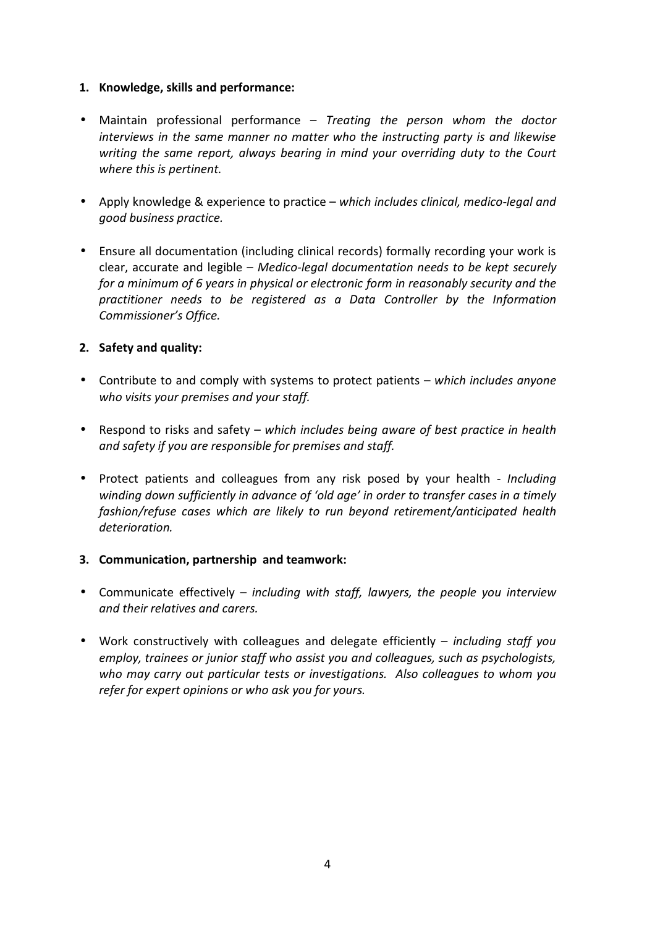## 1. Knowledge, skills and performance:

- Maintain professional performance Treating the person whom the doctor interviews in the same manner no matter who the instructing party is and likewise writing the same report, always bearing in mind your overriding duty to the Court where this is pertinent.
- Apply knowledge & experience to practice which includes clinical, medico-legal and good business practice.
- Ensure all documentation (including clinical records) formally recording your work is clear, accurate and legible – Medico-legal documentation needs to be kept securely for a minimum of 6 years in physical or electronic form in reasonably security and the practitioner needs to be registered as a Data Controller by the Information Commissioner's Office.

## 2. Safety and quality:

- Contribute to and comply with systems to protect patients which includes anyone who visits your premises and your staff.
- Respond to risks and safety which includes being aware of best practice in health and safety if you are responsible for premises and staff.
- Protect patients and colleagues from any risk posed by your health Including winding down sufficiently in advance of 'old age' in order to transfer cases in a timely fashion/refuse cases which are likely to run beyond retirement/anticipated health deterioration.

#### 3. Communication, partnership and teamwork:

- Communicate effectively including with staff, lawyers, the people you interview and their relatives and carers.
- Work constructively with colleagues and delegate efficiently including staff you employ, trainees or junior staff who assist you and colleagues, such as psychologists, who may carry out particular tests or investigations. Also colleagues to whom you refer for expert opinions or who ask you for yours.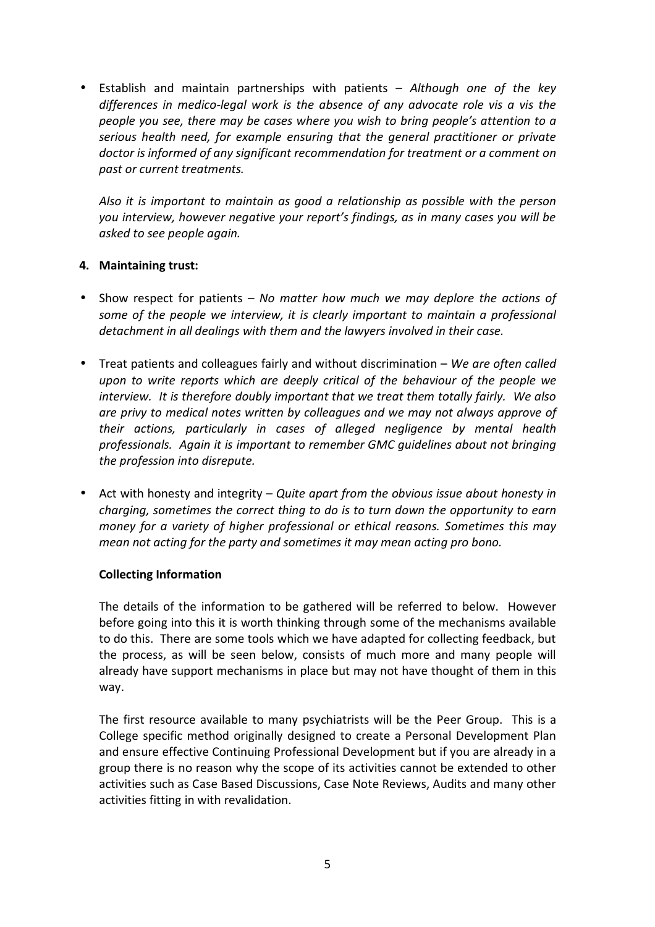• Establish and maintain partnerships with patients – Although one of the key differences in medico-legal work is the absence of any advocate role vis a vis the people you see, there may be cases where you wish to bring people's attention to a serious health need, for example ensuring that the general practitioner or private doctor is informed of any significant recommendation for treatment or a comment on past or current treatments.

Also it is important to maintain as good a relationship as possible with the person you interview, however negative your report's findings, as in many cases you will be asked to see people again.

## 4. Maintaining trust:

- Show respect for patients No matter how much we may deplore the actions of some of the people we interview, it is clearly important to maintain a professional detachment in all dealings with them and the lawyers involved in their case.
- Treat patients and colleagues fairly and without discrimination We are often called upon to write reports which are deeply critical of the behaviour of the people we interview. It is therefore doubly important that we treat them totally fairly. We also are privy to medical notes written by colleagues and we may not always approve of their actions, particularly in cases of alleged negligence by mental health professionals. Again it is important to remember GMC guidelines about not bringing the profession into disrepute.
- Act with honesty and integrity Quite apart from the obvious issue about honesty in charging, sometimes the correct thing to do is to turn down the opportunity to earn money for a variety of higher professional or ethical reasons. Sometimes this may mean not acting for the party and sometimes it may mean acting pro bono.

# Collecting Information

The details of the information to be gathered will be referred to below. However before going into this it is worth thinking through some of the mechanisms available to do this. There are some tools which we have adapted for collecting feedback, but the process, as will be seen below, consists of much more and many people will already have support mechanisms in place but may not have thought of them in this way.

The first resource available to many psychiatrists will be the Peer Group. This is a College specific method originally designed to create a Personal Development Plan and ensure effective Continuing Professional Development but if you are already in a group there is no reason why the scope of its activities cannot be extended to other activities such as Case Based Discussions, Case Note Reviews, Audits and many other activities fitting in with revalidation.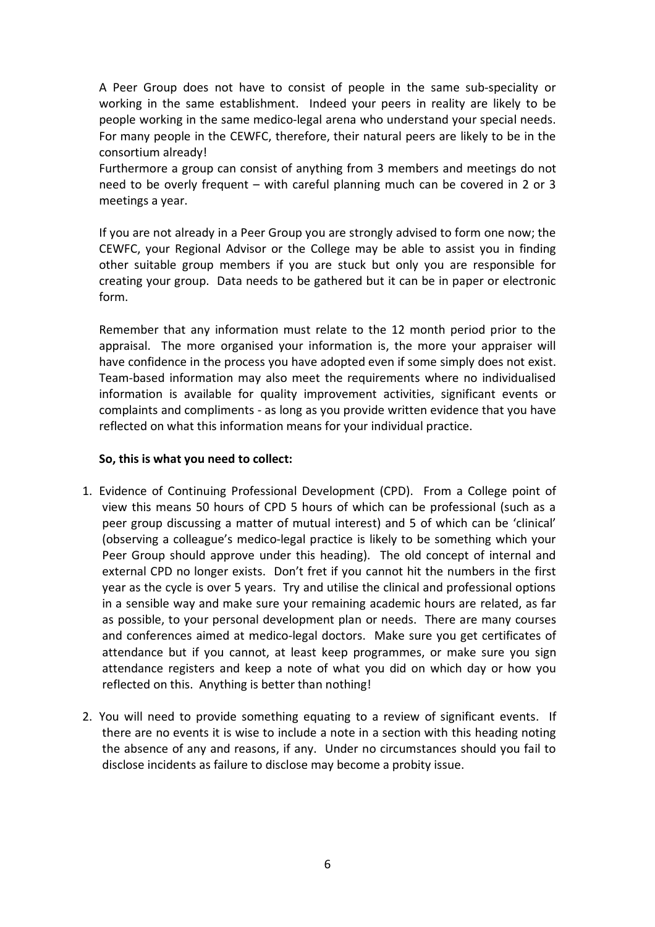A Peer Group does not have to consist of people in the same sub-speciality or working in the same establishment. Indeed your peers in reality are likely to be people working in the same medico-legal arena who understand your special needs. For many people in the CEWFC, therefore, their natural peers are likely to be in the consortium already!

Furthermore a group can consist of anything from 3 members and meetings do not need to be overly frequent – with careful planning much can be covered in 2 or 3 meetings a year.

If you are not already in a Peer Group you are strongly advised to form one now; the CEWFC, your Regional Advisor or the College may be able to assist you in finding other suitable group members if you are stuck but only you are responsible for creating your group. Data needs to be gathered but it can be in paper or electronic form.

Remember that any information must relate to the 12 month period prior to the appraisal. The more organised your information is, the more your appraiser will have confidence in the process you have adopted even if some simply does not exist. Team-based information may also meet the requirements where no individualised information is available for quality improvement activities, significant events or complaints and compliments - as long as you provide written evidence that you have reflected on what this information means for your individual practice.

## So, this is what you need to collect:

- 1. Evidence of Continuing Professional Development (CPD). From a College point of view this means 50 hours of CPD 5 hours of which can be professional (such as a peer group discussing a matter of mutual interest) and 5 of which can be 'clinical' (observing a colleague's medico-legal practice is likely to be something which your Peer Group should approve under this heading). The old concept of internal and external CPD no longer exists. Don't fret if you cannot hit the numbers in the first year as the cycle is over 5 years. Try and utilise the clinical and professional options in a sensible way and make sure your remaining academic hours are related, as far as possible, to your personal development plan or needs. There are many courses and conferences aimed at medico-legal doctors. Make sure you get certificates of attendance but if you cannot, at least keep programmes, or make sure you sign attendance registers and keep a note of what you did on which day or how you reflected on this. Anything is better than nothing!
- 2. You will need to provide something equating to a review of significant events. If there are no events it is wise to include a note in a section with this heading noting the absence of any and reasons, if any. Under no circumstances should you fail to disclose incidents as failure to disclose may become a probity issue.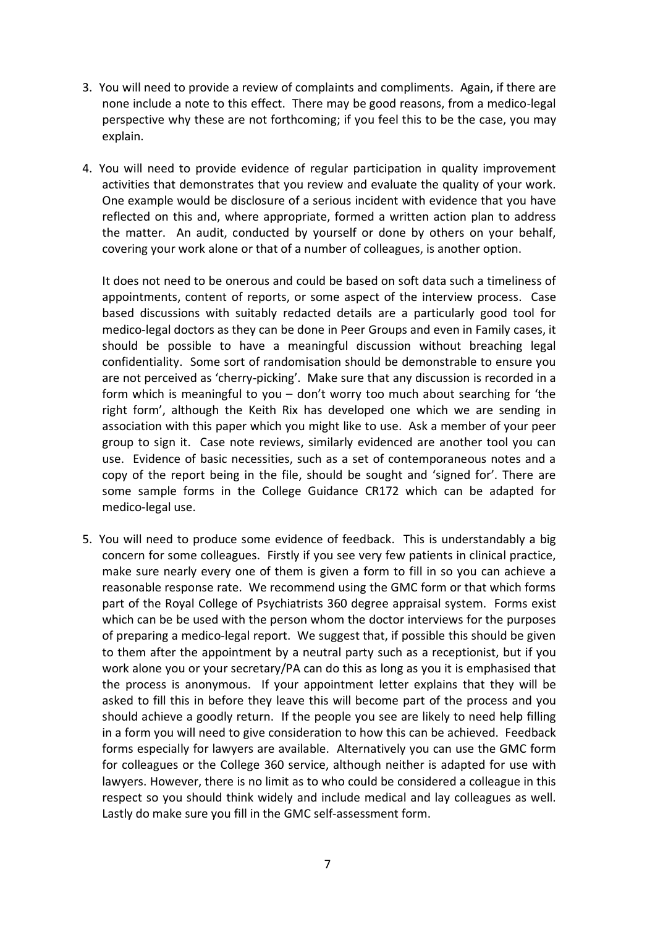- 3. You will need to provide a review of complaints and compliments. Again, if there are none include a note to this effect. There may be good reasons, from a medico-legal perspective why these are not forthcoming; if you feel this to be the case, you may explain.
- 4. You will need to provide evidence of regular participation in quality improvement activities that demonstrates that you review and evaluate the quality of your work. One example would be disclosure of a serious incident with evidence that you have reflected on this and, where appropriate, formed a written action plan to address the matter. An audit, conducted by yourself or done by others on your behalf, covering your work alone or that of a number of colleagues, is another option.

It does not need to be onerous and could be based on soft data such a timeliness of appointments, content of reports, or some aspect of the interview process. Case based discussions with suitably redacted details are a particularly good tool for medico-legal doctors as they can be done in Peer Groups and even in Family cases, it should be possible to have a meaningful discussion without breaching legal confidentiality. Some sort of randomisation should be demonstrable to ensure you are not perceived as 'cherry-picking'. Make sure that any discussion is recorded in a form which is meaningful to you – don't worry too much about searching for 'the right form', although the Keith Rix has developed one which we are sending in association with this paper which you might like to use. Ask a member of your peer group to sign it. Case note reviews, similarly evidenced are another tool you can use. Evidence of basic necessities, such as a set of contemporaneous notes and a copy of the report being in the file, should be sought and 'signed for'. There are some sample forms in the College Guidance CR172 which can be adapted for medico-legal use.

5. You will need to produce some evidence of feedback. This is understandably a big concern for some colleagues. Firstly if you see very few patients in clinical practice, make sure nearly every one of them is given a form to fill in so you can achieve a reasonable response rate. We recommend using the GMC form or that which forms part of the Royal College of Psychiatrists 360 degree appraisal system. Forms exist which can be be used with the person whom the doctor interviews for the purposes of preparing a medico-legal report. We suggest that, if possible this should be given to them after the appointment by a neutral party such as a receptionist, but if you work alone you or your secretary/PA can do this as long as you it is emphasised that the process is anonymous. If your appointment letter explains that they will be asked to fill this in before they leave this will become part of the process and you should achieve a goodly return. If the people you see are likely to need help filling in a form you will need to give consideration to how this can be achieved. Feedback forms especially for lawyers are available. Alternatively you can use the GMC form for colleagues or the College 360 service, although neither is adapted for use with lawyers. However, there is no limit as to who could be considered a colleague in this respect so you should think widely and include medical and lay colleagues as well. Lastly do make sure you fill in the GMC self-assessment form.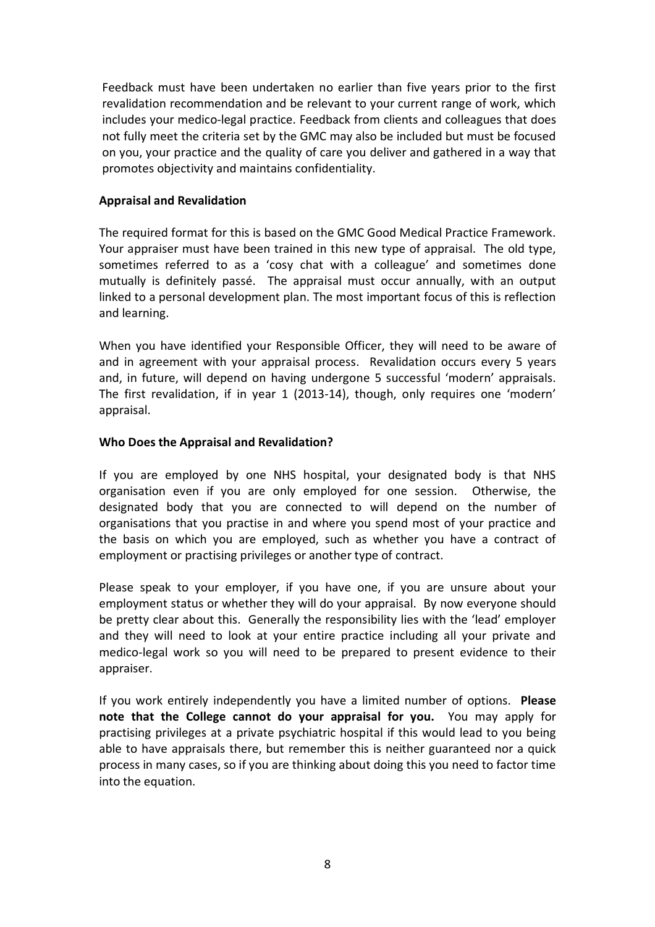Feedback must have been undertaken no earlier than five years prior to the first revalidation recommendation and be relevant to your current range of work, which includes your medico-legal practice. Feedback from clients and colleagues that does not fully meet the criteria set by the GMC may also be included but must be focused on you, your practice and the quality of care you deliver and gathered in a way that promotes objectivity and maintains confidentiality.

## Appraisal and Revalidation

The required format for this is based on the GMC Good Medical Practice Framework. Your appraiser must have been trained in this new type of appraisal. The old type, sometimes referred to as a 'cosy chat with a colleague' and sometimes done mutually is definitely passé. The appraisal must occur annually, with an output linked to a personal development plan. The most important focus of this is reflection and learning.

When you have identified your Responsible Officer, they will need to be aware of and in agreement with your appraisal process. Revalidation occurs every 5 years and, in future, will depend on having undergone 5 successful 'modern' appraisals. The first revalidation, if in year 1 (2013-14), though, only requires one 'modern' appraisal.

## Who Does the Appraisal and Revalidation?

If you are employed by one NHS hospital, your designated body is that NHS organisation even if you are only employed for one session. Otherwise, the designated body that you are connected to will depend on the number of organisations that you practise in and where you spend most of your practice and the basis on which you are employed, such as whether you have a contract of employment or practising privileges or another type of contract.

Please speak to your employer, if you have one, if you are unsure about your employment status or whether they will do your appraisal. By now everyone should be pretty clear about this. Generally the responsibility lies with the 'lead' employer and they will need to look at your entire practice including all your private and medico-legal work so you will need to be prepared to present evidence to their appraiser.

If you work entirely independently you have a limited number of options. Please note that the College cannot do your appraisal for you. You may apply for practising privileges at a private psychiatric hospital if this would lead to you being able to have appraisals there, but remember this is neither guaranteed nor a quick process in many cases, so if you are thinking about doing this you need to factor time into the equation.